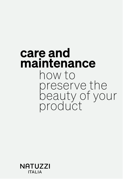### care and maintenance how to preserve the beauty of your product

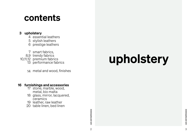### 3 upholstery

- 4 essential leathers
- 5 stylish leathers
- 6 prestige leathers

7 smart fabrics,

8,9 trendy fabrics

10,11,12 premium fabrics

13 performance fabrics

## contents

- metal, bio malta
- 18 glass, mirror, lacquered, ceramics
- 19 leather, raw leather
- 20 table linen, bed linen

metal and wood, finishes 14

### **16 furnishings and accessories**<br>17 stone, marble, wood,

# upholstery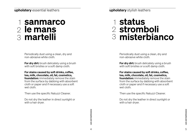### sanmarco 2 le mans martelli 3 1

**For dry dirt:** brush delicately using a brush with soft bristles or a soft damp cloth.

Periodically dust using a clean, dry and non-abrasive white cloth.

For stains caused by soft drinks, coffee, tea, milk, chocolate, oil, fat, cosmetics, foundation: immediately remove the stain from the surface by dabbing with absorbent cloth or paper and if necessary use a soft wet cloth.

**For dry dirt:** brush delicately using a brush with soft bristles or a soft damp cloth.

Then use the specific Natuzzi Cleaner.

Do not dry the leather in direct sunlight or with a hair dryer.

## status 1 stromboli 2 misterbianco 3

Periodically dust using a clean, dry and non-abrasive white cloth.

For stains caused by soft drinks, coffee, tea, milk, chocolate, oil, fat, cosmetics, foundation: immediately remove the stain from the surface by dabbing with absorbent cloth or paper and if necessary use a soft wet cloth.

Then use the specific Natuzzi Cleaner.

Do not dry the leather in direct sunlight or with a hair dryer.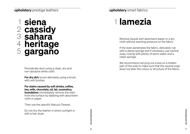### siena cassidy sahara heritage gargano 1 2 3 4 5

**For dry dirt:** brush delicately using a brush with soft bristles.

Periodically dust using a clean, dry and non-abrasive white cloth.

For stains caused by soft drinks, coffee, tea, milk, chocolate, oil, fat, cosmetics, foundation: immediately remove the stain from the surface by dabbing with absorbent cloth or paper.

## 1 lamezia

Then use the specific Natuzzi Cleaner.

Do not dry the leather in direct sunlight or with a hair dryer.

Remove liquids with absorbent paper or a dry cloth without exerting pressure on the fabric.

If the stain penetrates the fabric, delicately rub with a damp sponge and if necessary use neutral soap, rinsing with plenty of warm water and a clean sponge.

We recommend carrying out a test on a hidden part of the sofa to make sure that the neutral soap does not alter the colour or structure of the fabric.

### upholstery smart fabrics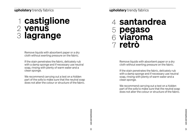<sup>8</sup> <sup>9</sup> care and maintenance care and maintenance

### upholstery trendy fabrics

## castiglione 1 2 yenus lagrange 3

Remove liquids with absorbent paper or a dry cloth without exerting pressure on the fabric.

If the stain penetrates the fabric, delicately rub with a damp sponge and if necessary use neutral soap, rinsing with plenty of warm water and a clean sponge.

We recommend carrying out a test on a hidden part of the sofa to make sure that the neutral soap does not alter the colour or structure of the fabric.

upholstery trendy fabrics

santandrea 4 pegaso 5 viaroma 6 retrò 7

> Remove liquids with absorbent paper or a dry cloth without exerting pressure on the fabric.

If the stain penetrates the fabric, delicately rub with a damp sponge and if necessary use neutral soap, rinsing with plenty of warm water and a clean sponge.

We recommend carrying out a test on a hidden part of the sofa to make sure that the neutral soap does not alter the colour or structure of the fabric.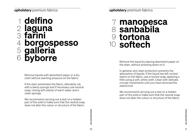### delfino 1 laguna farini borgospesso galleria byborre 2 3 4 5 6

Remove liquids with absorbent paper or a dry cloth without exerting pressure on the fabric.

If the stain penetrates the fabric, delicately rub with a damp sponge and if necessary use neutral soap, rinsing with plenty of warm water and a clean sponge.

We recommend carrying out a test on a hidden part of the sofa to make sure that the neutral soap does not alter the colour or structure of the fabric.

manopesca sanbabila tortona 9 softech 10 7 8

> Remove the liquid by placing absorbent paper on the stain, without pressing down on it.

> In general, anti-stain protection prevents the absorption of liquids. If the liquid has left circles/ stains on the fabric, use a neutral soap, applying a little using a soft, white cloth. Clean with delicate circular movements until you have removed the stain/circle.

> We recommend carrying out a test on a hidden part of the sofa to make sure that the neutral soap does not alter the colour or structure of the fabric.

exe and maintenance<br>10 decree care and maintenance<br>11 care and maintenance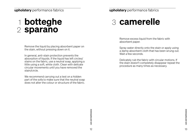## 1 botteghe 3 camerelle 2 sparano

Remove the liquid by placing absorbent paper on the stain, without pressing down on it.

In general, anti-stain protection prevents the absorption of liquids. If the liquid has left circles/ stains on the fabric, use a neutral soap, applying a little using a soft, white cloth. Clean with delicate circular movements until you have removed the stain/circle.

We recommend carrying out a test on a hidden part of the sofa to make sure that the neutral soap does not alter the colour or structure of the fabric.

### 3 camerelle

Remove excess liquid from the fabric with absorbent paper.

Spray water directly onto the stain or apply using a damp absorbent cloth that has been wrung out. Wait a few seconds.

Delicately rub the fabric with circular motions. If the stain doesn't completely disappear repeat the procedure as many times as necessary.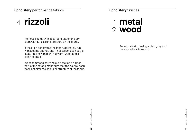### upholstery finishes

Periodically dust using a clean, dry and non-abrasive white cloth.

### metal 1 wood 2

## 4 rizzoli

Remove liquids with absorbent paper or a dry cloth without exerting pressure on the fabric.

If the stain penetrates the fabric, delicately rub with a damp sponge and if necessary use neutral soap, rinsing with plenty of warm water and a clean sponge.

We recommend carrying out a test on a hidden part of the sofa to make sure that the neutral soap does not alter the colour or structure of the fabric.

upholstery performance fabrics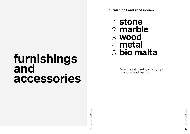## furnishings and accessories

 $\overrightarrow{0}$  care and maintenance care and maintenance  $16$ 

 $\overrightarrow{1}$  care and maintenance care and maintenance

furnishings and accessories

Periodically dust using a clean, dry and non-abrasive white cloth.

stone 1 2 marble wood 3 metal 4 bio malta 5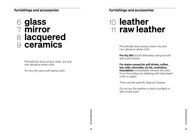### furnishings and accessories

Periodically dust using a clean, dry and non-abrasive white cloth.

### glass 6 mirror 7 lacquered 8 ceramics 9

For dry dirt: brush delicately using a brush with soft bristles.

For dry dirt use a soft damp cloth.

Periodically dust using a clean, dry and non-abrasive white cloth.

## 10 leather raw leather 11

For stains caused by soft drinks, coffee, tea, milk, chocolate, oil, fat, cosmetics, **foundation:** immediately remove the stain from the surface by dabbing with absorbent cloth or paper.

Then use the specific Natuzzi Cleaner.

Do not dry the leather in direct sunlight or with a hair dryer.

 $\begin{array}{c} \text{case and maintenance} \\\\ \text{18} \\\\ \text{19} \end{array}$ 

furnishings and accessories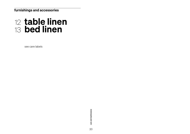## table linen 12 bed linen 13

see care labels

### furnishings and accessories